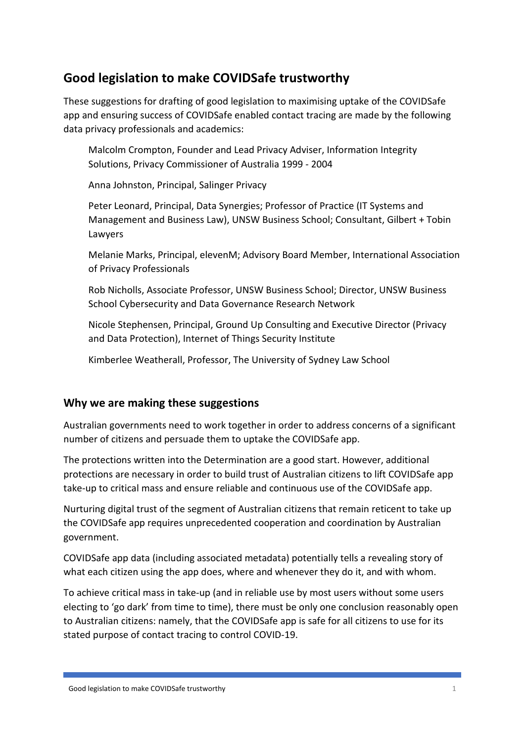# **Good legislation to make COVIDSafe trustworthy**

These suggestions for drafting of good legislation to maximising uptake of the COVIDSafe app and ensuring success of COVIDSafe enabled contact tracing are made by the following data privacy professionals and academics:

Malcolm Crompton, Founder and Lead Privacy Adviser, Information Integrity Solutions, Privacy Commissioner of Australia 1999 - 2004

Anna Johnston, Principal, Salinger Privacy

Peter Leonard, Principal, Data Synergies; Professor of Practice (IT Systems and Management and Business Law), UNSW Business School; Consultant, Gilbert + Tobin Lawyers

Melanie Marks, Principal, elevenM; Advisory Board Member, International Association of Privacy Professionals

Rob Nicholls, Associate Professor, UNSW Business School; Director, UNSW Business School Cybersecurity and Data Governance Research Network

Nicole Stephensen, Principal, Ground Up Consulting and Executive Director (Privacy and Data Protection), Internet of Things Security Institute

Kimberlee Weatherall, Professor, The University of Sydney Law School

#### **Why we are making these suggestions**

Australian governments need to work together in order to address concerns of a significant number of citizens and persuade them to uptake the COVIDSafe app.

The protections written into the Determination are a good start. However, additional protections are necessary in order to build trust of Australian citizens to lift COVIDSafe app take-up to critical mass and ensure reliable and continuous use of the COVIDSafe app.

Nurturing digital trust of the segment of Australian citizens that remain reticent to take up the COVIDSafe app requires unprecedented cooperation and coordination by Australian government.

COVIDSafe app data (including associated metadata) potentially tells a revealing story of what each citizen using the app does, where and whenever they do it, and with whom.

To achieve critical mass in take-up (and in reliable use by most users without some users electing to 'go dark' from time to time), there must be only one conclusion reasonably open to Australian citizens: namely, that the COVIDSafe app is safe for all citizens to use for its stated purpose of contact tracing to control COVID-19.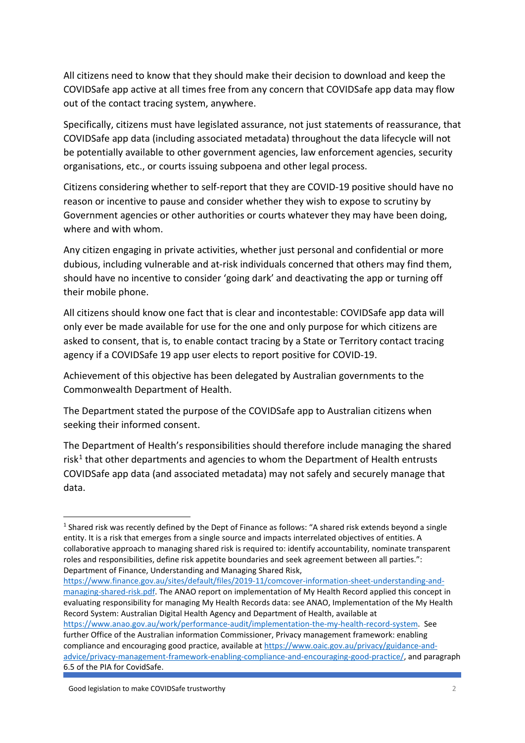All citizens need to know that they should make their decision to download and keep the COVIDSafe app active at all times free from any concern that COVIDSafe app data may flow out of the contact tracing system, anywhere.

Specifically, citizens must have legislated assurance, not just statements of reassurance, that COVIDSafe app data (including associated metadata) throughout the data lifecycle will not be potentially available to other government agencies, law enforcement agencies, security organisations, etc., or courts issuing subpoena and other legal process.

Citizens considering whether to self-report that they are COVID-19 positive should have no reason or incentive to pause and consider whether they wish to expose to scrutiny by Government agencies or other authorities or courts whatever they may have been doing, where and with whom.

Any citizen engaging in private activities, whether just personal and confidential or more dubious, including vulnerable and at-risk individuals concerned that others may find them, should have no incentive to consider 'going dark' and deactivating the app or turning off their mobile phone.

All citizens should know one fact that is clear and incontestable: COVIDSafe app data will only ever be made available for use for the one and only purpose for which citizens are asked to consent, that is, to enable contact tracing by a State or Territory contact tracing agency if a COVIDSafe 19 app user elects to report positive for COVID-19.

Achievement of this objective has been delegated by Australian governments to the Commonwealth Department of Health.

The Department stated the purpose of the COVIDSafe app to Australian citizens when seeking their informed consent.

The Department of Health's responsibilities should therefore include managing the shared risk<sup>[1](#page-1-0)</sup> that other departments and agencies to whom the Department of Health entrusts COVIDSafe app data (and associated metadata) may not safely and securely manage that data.

[https://www.finance.gov.au/sites/default/files/2019-11/comcover-information-sheet-understanding-and](https://www.finance.gov.au/sites/default/files/2019-11/comcover-information-sheet-understanding-and-managing-shared-risk.pdf)[managing-shared-risk.pdf.](https://www.finance.gov.au/sites/default/files/2019-11/comcover-information-sheet-understanding-and-managing-shared-risk.pdf) The ANAO report on implementation of My Health Record applied this concept in evaluating responsibility for managing My Health Records data: see ANAO, Implementation of the My Health Record System: Australian Digital Health Agency and Department of Health, available at [https://www.anao.gov.au/work/performance-audit/implementation-the-my-health-record-system.](https://www.anao.gov.au/work/performance-audit/implementation-the-my-health-record-system) See further Office of the Australian information Commissioner, Privacy management framework: enabling compliance and encouraging good practice, available a[t https://www.oaic.gov.au/privacy/guidance-and](https://www.oaic.gov.au/privacy/guidance-and-advice/privacy-management-framework-enabling-compliance-and-encouraging-good-practice/)[advice/privacy-management-framework-enabling-compliance-and-encouraging-good-practice/,](https://www.oaic.gov.au/privacy/guidance-and-advice/privacy-management-framework-enabling-compliance-and-encouraging-good-practice/) and paragraph

6.5 of the PIA for CovidSafe.

<span id="page-1-0"></span><sup>&</sup>lt;sup>1</sup> Shared risk was recently defined by the Dept of Finance as follows: "A shared risk extends beyond a single entity. It is a risk that emerges from a single source and impacts interrelated objectives of entities. A collaborative approach to managing shared risk is required to: identify accountability, nominate transparent roles and responsibilities, define risk appetite boundaries and seek agreement between all parties.": Department of Finance, Understanding and Managing Shared Risk,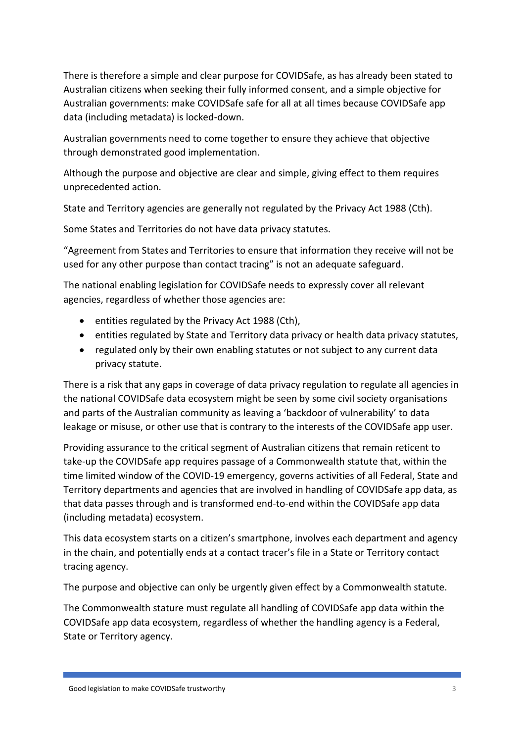There is therefore a simple and clear purpose for COVIDSafe, as has already been stated to Australian citizens when seeking their fully informed consent, and a simple objective for Australian governments: make COVIDSafe safe for all at all times because COVIDSafe app data (including metadata) is locked-down.

Australian governments need to come together to ensure they achieve that objective through demonstrated good implementation.

Although the purpose and objective are clear and simple, giving effect to them requires unprecedented action.

State and Territory agencies are generally not regulated by the Privacy Act 1988 (Cth).

Some States and Territories do not have data privacy statutes.

"Agreement from States and Territories to ensure that information they receive will not be used for any other purpose than contact tracing" is not an adequate safeguard.

The national enabling legislation for COVIDSafe needs to expressly cover all relevant agencies, regardless of whether those agencies are:

- entities regulated by the Privacy Act 1988 (Cth),
- entities regulated by State and Territory data privacy or health data privacy statutes,
- regulated only by their own enabling statutes or not subject to any current data privacy statute.

There is a risk that any gaps in coverage of data privacy regulation to regulate all agencies in the national COVIDSafe data ecosystem might be seen by some civil society organisations and parts of the Australian community as leaving a 'backdoor of vulnerability' to data leakage or misuse, or other use that is contrary to the interests of the COVIDSafe app user.

Providing assurance to the critical segment of Australian citizens that remain reticent to take-up the COVIDSafe app requires passage of a Commonwealth statute that, within the time limited window of the COVID-19 emergency, governs activities of all Federal, State and Territory departments and agencies that are involved in handling of COVIDSafe app data, as that data passes through and is transformed end-to-end within the COVIDSafe app data (including metadata) ecosystem.

This data ecosystem starts on a citizen's smartphone, involves each department and agency in the chain, and potentially ends at a contact tracer's file in a State or Territory contact tracing agency.

The purpose and objective can only be urgently given effect by a Commonwealth statute.

The Commonwealth stature must regulate all handling of COVIDSafe app data within the COVIDSafe app data ecosystem, regardless of whether the handling agency is a Federal, State or Territory agency.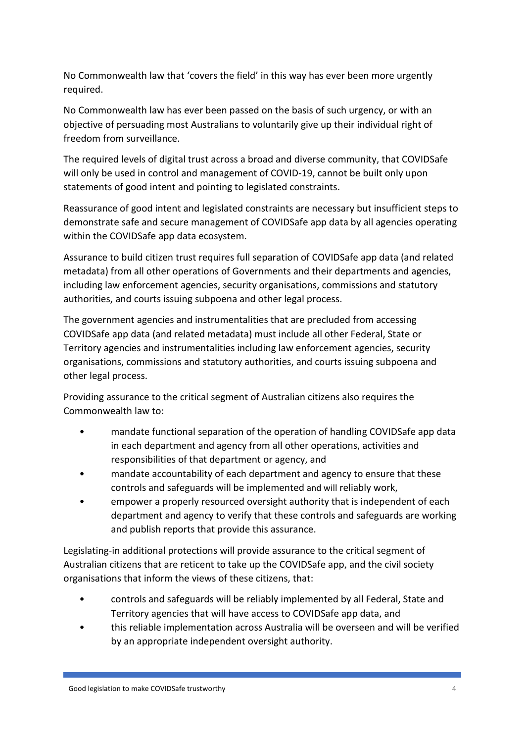No Commonwealth law that 'covers the field' in this way has ever been more urgently required.

No Commonwealth law has ever been passed on the basis of such urgency, or with an objective of persuading most Australians to voluntarily give up their individual right of freedom from surveillance.

The required levels of digital trust across a broad and diverse community, that COVIDSafe will only be used in control and management of COVID-19, cannot be built only upon statements of good intent and pointing to legislated constraints.

Reassurance of good intent and legislated constraints are necessary but insufficient steps to demonstrate safe and secure management of COVIDSafe app data by all agencies operating within the COVIDSafe app data ecosystem.

Assurance to build citizen trust requires full separation of COVIDSafe app data (and related metadata) from all other operations of Governments and their departments and agencies, including law enforcement agencies, security organisations, commissions and statutory authorities, and courts issuing subpoena and other legal process.

The government agencies and instrumentalities that are precluded from accessing COVIDSafe app data (and related metadata) must include all other Federal, State or Territory agencies and instrumentalities including law enforcement agencies, security organisations, commissions and statutory authorities, and courts issuing subpoena and other legal process.

Providing assurance to the critical segment of Australian citizens also requires the Commonwealth law to:

- mandate functional separation of the operation of handling COVIDSafe app data in each department and agency from all other operations, activities and responsibilities of that department or agency, and
- mandate accountability of each department and agency to ensure that these controls and safeguards will be implemented and will reliably work,
- empower a properly resourced oversight authority that is independent of each department and agency to verify that these controls and safeguards are working and publish reports that provide this assurance.

Legislating-in additional protections will provide assurance to the critical segment of Australian citizens that are reticent to take up the COVIDSafe app, and the civil society organisations that inform the views of these citizens, that:

- controls and safeguards will be reliably implemented by all Federal, State and Territory agencies that will have access to COVIDSafe app data, and
- this reliable implementation across Australia will be overseen and will be verified by an appropriate independent oversight authority.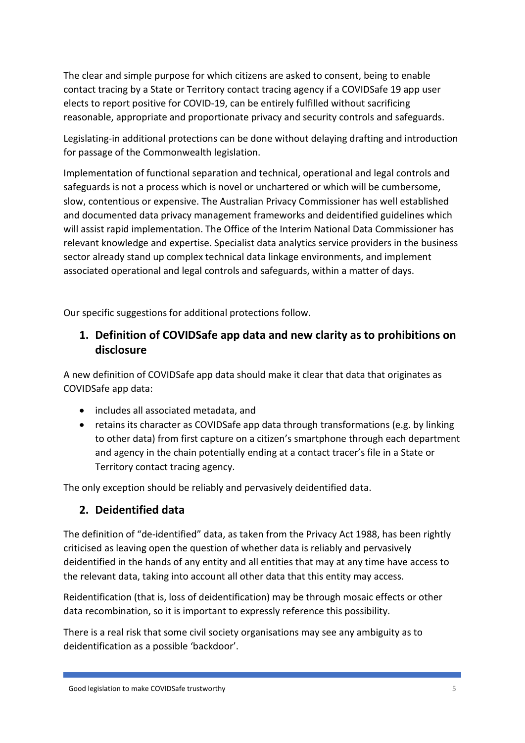The clear and simple purpose for which citizens are asked to consent, being to enable contact tracing by a State or Territory contact tracing agency if a COVIDSafe 19 app user elects to report positive for COVID-19, can be entirely fulfilled without sacrificing reasonable, appropriate and proportionate privacy and security controls and safeguards.

Legislating-in additional protections can be done without delaying drafting and introduction for passage of the Commonwealth legislation.

Implementation of functional separation and technical, operational and legal controls and safeguards is not a process which is novel or unchartered or which will be cumbersome, slow, contentious or expensive. The Australian Privacy Commissioner has well established and documented data privacy management frameworks and deidentified guidelines which will assist rapid implementation. The Office of the Interim National Data Commissioner has relevant knowledge and expertise. Specialist data analytics service providers in the business sector already stand up complex technical data linkage environments, and implement associated operational and legal controls and safeguards, within a matter of days.

Our specific suggestions for additional protections follow.

### **1. Definition of COVIDSafe app data and new clarity as to prohibitions on disclosure**

A new definition of COVIDSafe app data should make it clear that data that originates as COVIDSafe app data:

- includes all associated metadata, and
- retains its character as COVIDSafe app data through transformations (e.g. by linking to other data) from first capture on a citizen's smartphone through each department and agency in the chain potentially ending at a contact tracer's file in a State or Territory contact tracing agency.

The only exception should be reliably and pervasively deidentified data.

#### **2. Deidentified data**

The definition of "de-identified" data, as taken from the Privacy Act 1988, has been rightly criticised as leaving open the question of whether data is reliably and pervasively deidentified in the hands of any entity and all entities that may at any time have access to the relevant data, taking into account all other data that this entity may access.

Reidentification (that is, loss of deidentification) may be through mosaic effects or other data recombination, so it is important to expressly reference this possibility.

There is a real risk that some civil society organisations may see any ambiguity as to deidentification as a possible 'backdoor'.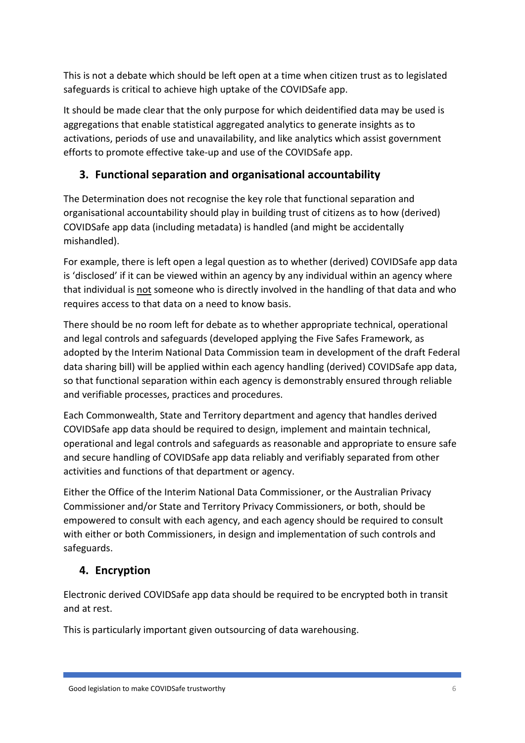This is not a debate which should be left open at a time when citizen trust as to legislated safeguards is critical to achieve high uptake of the COVIDSafe app.

It should be made clear that the only purpose for which deidentified data may be used is aggregations that enable statistical aggregated analytics to generate insights as to activations, periods of use and unavailability, and like analytics which assist government efforts to promote effective take-up and use of the COVIDSafe app.

## **3. Functional separation and organisational accountability**

The Determination does not recognise the key role that functional separation and organisational accountability should play in building trust of citizens as to how (derived) COVIDSafe app data (including metadata) is handled (and might be accidentally mishandled).

For example, there is left open a legal question as to whether (derived) COVIDSafe app data is 'disclosed' if it can be viewed within an agency by any individual within an agency where that individual is not someone who is directly involved in the handling of that data and who requires access to that data on a need to know basis.

There should be no room left for debate as to whether appropriate technical, operational and legal controls and safeguards (developed applying the Five Safes Framework, as adopted by the Interim National Data Commission team in development of the draft Federal data sharing bill) will be applied within each agency handling (derived) COVIDSafe app data, so that functional separation within each agency is demonstrably ensured through reliable and verifiable processes, practices and procedures.

Each Commonwealth, State and Territory department and agency that handles derived COVIDSafe app data should be required to design, implement and maintain technical, operational and legal controls and safeguards as reasonable and appropriate to ensure safe and secure handling of COVIDSafe app data reliably and verifiably separated from other activities and functions of that department or agency.

Either the Office of the Interim National Data Commissioner, or the Australian Privacy Commissioner and/or State and Territory Privacy Commissioners, or both, should be empowered to consult with each agency, and each agency should be required to consult with either or both Commissioners, in design and implementation of such controls and safeguards.

## **4. Encryption**

Electronic derived COVIDSafe app data should be required to be encrypted both in transit and at rest.

This is particularly important given outsourcing of data warehousing.